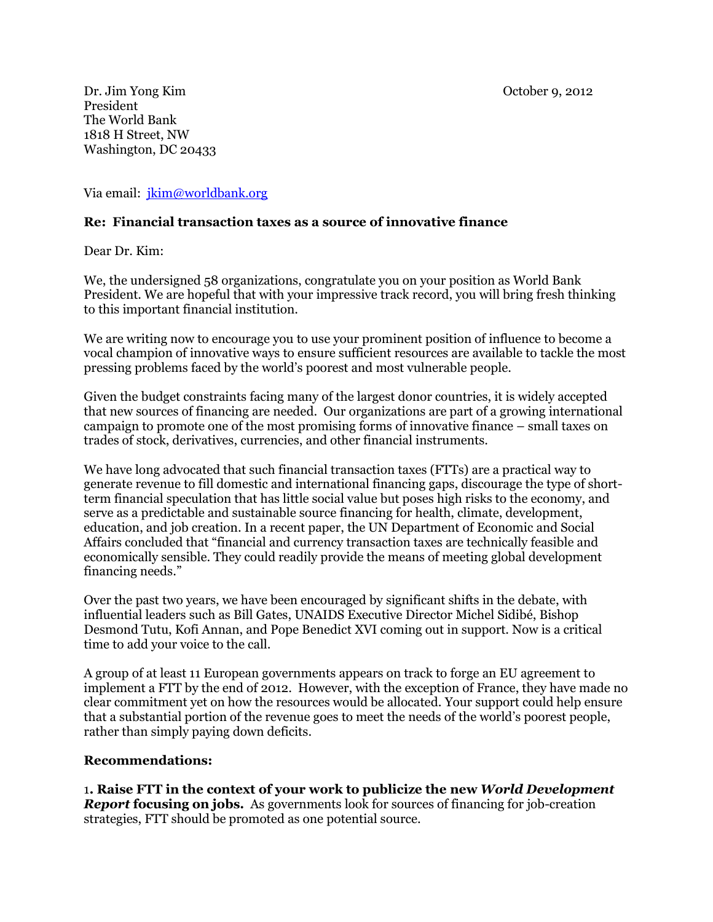Dr. Jim Yong Kim October 9, 2012 President The World Bank 1818 H Street, NW Washington, DC 20433

Via email: [jkim@worldbank.org](mailto:jkim@worldbank.org)

## **Re: Financial transaction taxes as a source of innovative finance**

Dear Dr. Kim:

We, the undersigned 58 organizations, congratulate you on your position as World Bank President. We are hopeful that with your impressive track record, you will bring fresh thinking to this important financial institution.

We are writing now to encourage you to use your prominent position of influence to become a vocal champion of innovative ways to ensure sufficient resources are available to tackle the most pressing problems faced by the world's poorest and most vulnerable people.

Given the budget constraints facing many of the largest donor countries, it is widely accepted that new sources of financing are needed. Our organizations are part of a growing international campaign to promote one of the most promising forms of innovative finance – small taxes on trades of stock, derivatives, currencies, and other financial instruments.

We have long advocated that such financial transaction taxes (FTTs) are a practical way to generate revenue to fill domestic and international financing gaps, discourage the type of shortterm financial speculation that has little social value but poses high risks to the economy, and serve as a predictable and sustainable source financing for health, climate, development, education, and job creation. In a recent paper, the UN Department of Economic and Social Affairs concluded that "financial and currency transaction taxes are technically feasible and economically sensible. They could readily provide the means of meeting global development financing needs."

Over the past two years, we have been encouraged by significant shifts in the debate, with influential leaders such as Bill Gates, UNAIDS Executive Director Michel Sidibé, Bishop Desmond Tutu, Kofi Annan, and Pope Benedict XVI coming out in support. Now is a critical time to add your voice to the call.

A group of at least 11 European governments appears on track to forge an EU agreement to implement a FTT by the end of 2012. However, with the exception of France, they have made no clear commitment yet on how the resources would be allocated. Your support could help ensure that a substantial portion of the revenue goes to meet the needs of the world's poorest people, rather than simply paying down deficits.

## **Recommendations:**

1**. Raise FTT in the context of your work to publicize the new** *World Development Report* **focusing on jobs.** As governments look for sources of financing for job-creation strategies, FTT should be promoted as one potential source.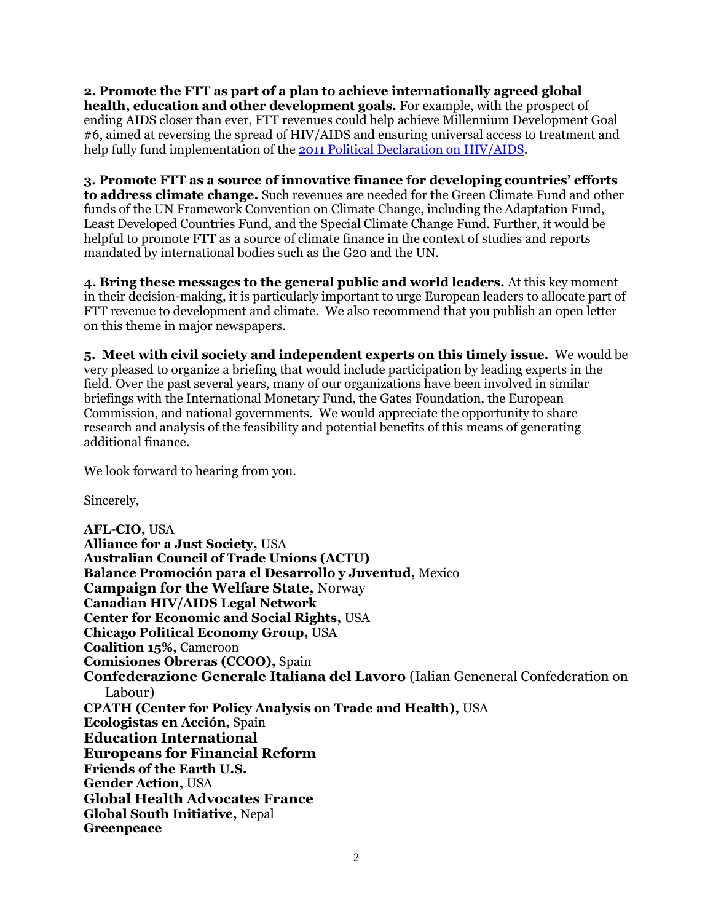**2. Promote the FTT as part of a plan to achieve internationally agreed global health, education and other development goals.** For example, with the prospect of ending AIDS closer than ever, FTT revenues could help achieve Millennium Development Goal #6, aimed at reversing the spread of HIV/AIDS and ensuring universal access to treatment and help fully fund implementation of the [2011 Political Declaration on HIV/AIDS.](http://www.unaids.org/en/aboutunaids/unitednationsdeclarationsandgoals/2011highlevelmeetingonaids/)

**3. Promote FTT as a source of innovative finance for developing countries' efforts to address climate change.** Such revenues are needed for the Green Climate Fund and other funds of the UN Framework Convention on Climate Change, including the Adaptation Fund, Least Developed Countries Fund, and the Special Climate Change Fund. Further, it would be helpful to promote FTT as a source of climate finance in the context of studies and reports mandated by international bodies such as the G20 and the UN.

**4. Bring these messages to the general public and world leaders.** At this key moment in their decision-making, it is particularly important to urge European leaders to allocate part of FTT revenue to development and climate. We also recommend that you publish an open letter on this theme in major newspapers.

**5. Meet with civil society and independent experts on this timely issue.** We would be very pleased to organize a briefing that would include participation by leading experts in the field. Over the past several years, many of our organizations have been involved in similar briefings with the International Monetary Fund, the Gates Foundation, the European Commission, and national governments. We would appreciate the opportunity to share research and analysis of the feasibility and potential benefits of this means of generating additional finance.

We look forward to hearing from you.

Sincerely,

**AFL-CIO,** USA **Alliance for a Just Society,** USA **Australian Council of Trade Unions (ACTU) Balance Promoción para el Desarrollo y Juventud,** Mexico **Campaign for the Welfare State,** Norway **Canadian HIV/AIDS Legal Network Center for Economic and Social Rights,** USA **Chicago Political Economy Group,** USA **Coalition 15%,** Cameroon **Comisiones Obreras (CCOO),** Spain **Confederazione Generale Italiana del Lavoro** (Ialian Geneneral Confederation on Labour) **CPATH (Center for Policy Analysis on Trade and Health),** USA **Ecologistas en Acción,** Spain **Education International Europeans for Financial Reform Friends of the Earth U.S. Gender Action,** USA **Global Health Advocates France Global South Initiative,** Nepal **Greenpeace**